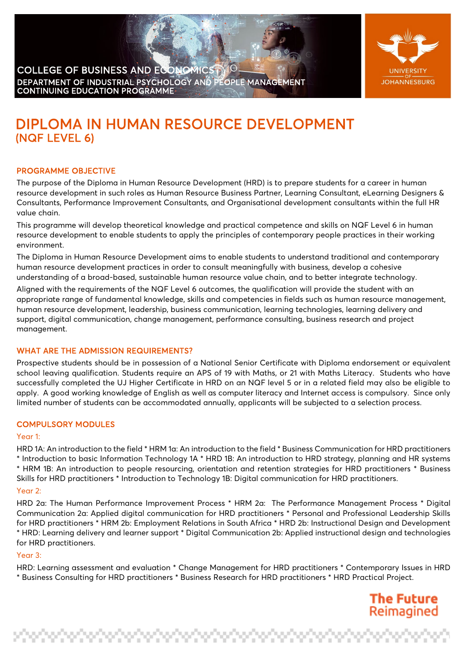



**The Future** Reimagined

maa ah ah ah ah ah ah

# DIPLOMA IN HUMAN RESOURCE DEVELOPMENT (NQF LEVEL 6)

# PROGRAMME OBJECTIVE

The purpose of the Diploma in Human Resource Development (HRD) is to prepare students for a career in human resource development in such roles as Human Resource Business Partner, Learning Consultant, eLearning Designers & Consultants, Performance Improvement Consultants, and Organisational development consultants within the full HR value chain.

This programme will develop theoretical knowledge and practical competence and skills on NQF Level 6 in human resource development to enable students to apply the principles of contemporary people practices in their working environment.

The Diploma in Human Resource Development aims to enable students to understand traditional and contemporary human resource development practices in order to consult meaningfully with business, develop a cohesive understanding of a broad-based, sustainable human resource value chain, and to better integrate technology.

Aligned with the requirements of the NQF Level 6 outcomes, the qualification will provide the student with an appropriate range of fundamental knowledge, skills and competencies in fields such as human resource management, human resource development, leadership, business communication, learning technologies, learning delivery and support, digital communication, change management, performance consulting, business research and project management.

## WHAT ARE THE ADMISSION REQUIREMENTS?

Prospective students should be in possession of a National Senior Certificate with Diploma endorsement or equivalent school leaving qualification. Students require an APS of 19 with Maths, or 21 with Maths Literacy. Students who have successfully completed the UJ Higher Certificate in HRD on an NQF level 5 or in a related field may also be eligible to apply. A good working knowledge of English as well as computer literacy and Internet access is compulsory. Since only limited number of students can be accommodated annually, applicants will be subjected to a selection process.

#### COMPULSORY MODULES

#### Year 1:

HRD 1A: An introduction to the field \* HRM 1a: An introduction to the field \* Business Communication for HRD practitioners \* Introduction to basic Information Technology 1A \* HRD 1B: An introduction to HRD strategy, planning and HR systems \* HRM 1B: An introduction to people resourcing, orientation and retention strategies for HRD practitioners \* Business Skills for HRD practitioners \* Introduction to Technology 1B: Digital communication for HRD practitioners.

#### Your 2:

HRD 2a: The Human Performance Improvement Process \* HRM 2a: The Performance Management Process \* Digital Communication 2a: Applied digital communication for HRD practitioners \* Personal and Professional Leadership Skills for HRD practitioners \* HRM 2b: Employment Relations in South Africa \* HRD 2b: Instructional Design and Development \* HRD: Learning delivery and learner support \* Digital Communication 2b: Applied instructional design and technologies for HRD practitioners.

#### Year 3:

HRD: Learning assessment and evaluation \* Change Management for HRD practitioners \* Contemporary Issues in HRD \* Business Consulting for HRD practitioners \* Business Research for HRD practitioners \* HRD Practical Project.